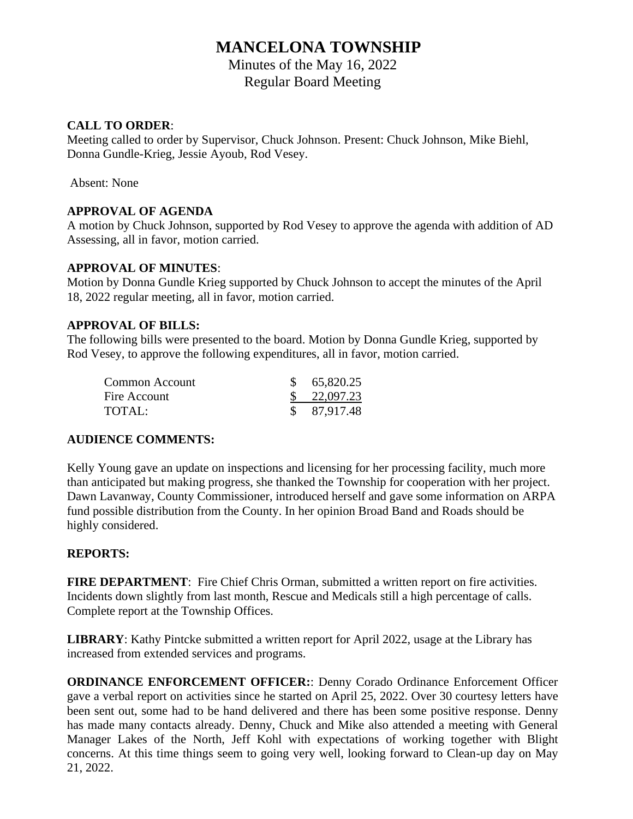# **MANCELONA TOWNSHIP**

Minutes of the May 16, 2022 Regular Board Meeting

#### **CALL TO ORDER**:

Meeting called to order by Supervisor, Chuck Johnson. Present: Chuck Johnson, Mike Biehl, Donna Gundle-Krieg, Jessie Ayoub, Rod Vesey.

Absent: None

#### **APPROVAL OF AGENDA**

A motion by Chuck Johnson, supported by Rod Vesey to approve the agenda with addition of AD Assessing, all in favor, motion carried.

#### **APPROVAL OF MINUTES**:

Motion by Donna Gundle Krieg supported by Chuck Johnson to accept the minutes of the April 18, 2022 regular meeting, all in favor, motion carried.

#### **APPROVAL OF BILLS:**

The following bills were presented to the board. Motion by Donna Gundle Krieg, supported by Rod Vesey, to approve the following expenditures, all in favor, motion carried.

| Common Account | \$65,820.25            |
|----------------|------------------------|
| Fire Account   | $\frac{\$}{22,097.23}$ |
| TOTAL:         | \$87,917.48            |

### **AUDIENCE COMMENTS:**

Kelly Young gave an update on inspections and licensing for her processing facility, much more than anticipated but making progress, she thanked the Township for cooperation with her project. Dawn Lavanway, County Commissioner, introduced herself and gave some information on ARPA fund possible distribution from the County. In her opinion Broad Band and Roads should be highly considered.

### **REPORTS:**

FIRE DEPARTMENT: Fire Chief Chris Orman, submitted a written report on fire activities. Incidents down slightly from last month, Rescue and Medicals still a high percentage of calls. Complete report at the Township Offices.

**LIBRARY**: Kathy Pintcke submitted a written report for April 2022, usage at the Library has increased from extended services and programs.

**ORDINANCE ENFORCEMENT OFFICER:**: Denny Corado Ordinance Enforcement Officer gave a verbal report on activities since he started on April 25, 2022. Over 30 courtesy letters have been sent out, some had to be hand delivered and there has been some positive response. Denny has made many contacts already. Denny, Chuck and Mike also attended a meeting with General Manager Lakes of the North, Jeff Kohl with expectations of working together with Blight concerns. At this time things seem to going very well, looking forward to Clean-up day on May 21, 2022.